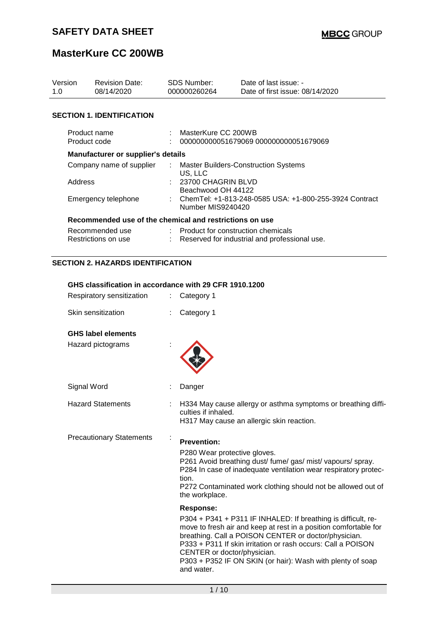| Version<br>1.0               |                | <b>Revision Date:</b><br>08/14/2020                     |    | SDS Number:<br>000000260264                             | Date of last issue: -<br>Date of first issue: 08/14/2020                                                                                                                                                                                                                                                                |
|------------------------------|----------------|---------------------------------------------------------|----|---------------------------------------------------------|-------------------------------------------------------------------------------------------------------------------------------------------------------------------------------------------------------------------------------------------------------------------------------------------------------------------------|
|                              |                | <b>SECTION 1. IDENTIFICATION</b>                        |    |                                                         |                                                                                                                                                                                                                                                                                                                         |
| Product name<br>Product code |                |                                                         |    | MasterKure CC 200WB                                     |                                                                                                                                                                                                                                                                                                                         |
|                              |                |                                                         |    |                                                         | 000000000051679069 000000000051679069                                                                                                                                                                                                                                                                                   |
|                              |                | <b>Manufacturer or supplier's details</b>               |    |                                                         |                                                                                                                                                                                                                                                                                                                         |
|                              |                | Company name of supplier                                |    | US, LLC                                                 | <b>Master Builders-Construction Systems</b>                                                                                                                                                                                                                                                                             |
|                              | <b>Address</b> |                                                         |    | 23700 CHAGRIN BLVD                                      |                                                                                                                                                                                                                                                                                                                         |
|                              |                | Emergency telephone                                     |    | Beachwood OH 44122<br>Number MIS9240420                 | ChemTel: +1-813-248-0585 USA: +1-800-255-3924 Contract                                                                                                                                                                                                                                                                  |
|                              |                | Recommended use of the chemical and restrictions on use |    |                                                         |                                                                                                                                                                                                                                                                                                                         |
|                              |                | Recommended use<br>Restrictions on use                  |    | Product for construction chemicals                      | Reserved for industrial and professional use.                                                                                                                                                                                                                                                                           |
|                              |                | <b>SECTION 2. HAZARDS IDENTIFICATION</b>                |    |                                                         |                                                                                                                                                                                                                                                                                                                         |
|                              |                | GHS classification in accordance with 29 CFR 1910.1200  |    |                                                         |                                                                                                                                                                                                                                                                                                                         |
|                              |                | Respiratory sensitization                               | ÷. | Category 1                                              |                                                                                                                                                                                                                                                                                                                         |
|                              |                | Skin sensitization                                      |    | Category 1                                              |                                                                                                                                                                                                                                                                                                                         |
|                              |                |                                                         |    |                                                         |                                                                                                                                                                                                                                                                                                                         |
|                              |                | <b>GHS label elements</b>                               |    |                                                         |                                                                                                                                                                                                                                                                                                                         |
|                              |                | Hazard pictograms                                       |    |                                                         |                                                                                                                                                                                                                                                                                                                         |
|                              | Signal Word    |                                                         |    | Danger                                                  |                                                                                                                                                                                                                                                                                                                         |
|                              |                | <b>Hazard Statements</b>                                |    | culties if inhaled.                                     | H334 May cause allergy or asthma symptoms or breathing diffi-<br>H317 May cause an allergic skin reaction.                                                                                                                                                                                                              |
|                              |                |                                                         |    |                                                         |                                                                                                                                                                                                                                                                                                                         |
|                              |                | <b>Precautionary Statements</b>                         |    | <b>Prevention:</b>                                      |                                                                                                                                                                                                                                                                                                                         |
|                              |                |                                                         |    | P280 Wear protective gloves.<br>tion.<br>the workplace. | P261 Avoid breathing dust/ fume/ gas/ mist/ vapours/ spray.<br>P284 In case of inadequate ventilation wear respiratory protec-<br>P272 Contaminated work clothing should not be allowed out of                                                                                                                          |
|                              |                |                                                         |    | <b>Response:</b>                                        |                                                                                                                                                                                                                                                                                                                         |
|                              |                |                                                         |    | CENTER or doctor/physician.                             | P304 + P341 + P311 IF INHALED: If breathing is difficult, re-<br>move to fresh air and keep at rest in a position comfortable for<br>breathing. Call a POISON CENTER or doctor/physician.<br>P333 + P311 If skin irritation or rash occurs: Call a POISON<br>P303 + P352 IF ON SKIN (or hair): Wash with plenty of soap |

and water.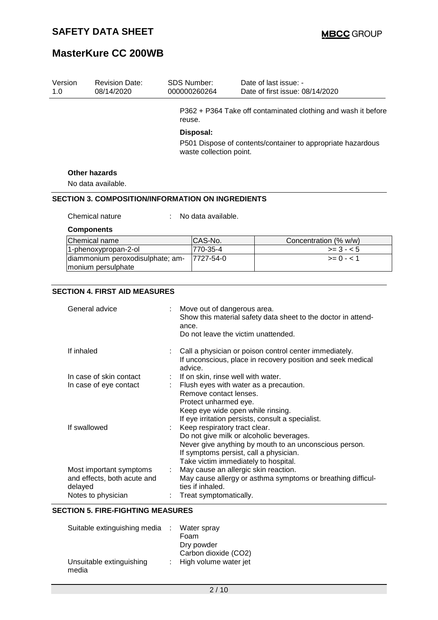| Version<br>1.0 |                                                               | <b>Revision Date:</b><br>08/14/2020                      |  | <b>SDS Number:</b><br>000000260264                         |  | Date of last issue: -<br>Date of first issue: 08/14/2020      |  |
|----------------|---------------------------------------------------------------|----------------------------------------------------------|--|------------------------------------------------------------|--|---------------------------------------------------------------|--|
|                |                                                               |                                                          |  | reuse.                                                     |  | P362 + P364 Take off contaminated clothing and wash it before |  |
|                |                                                               |                                                          |  | Disposal:                                                  |  |                                                               |  |
|                |                                                               |                                                          |  |                                                            |  | P501 Dispose of contents/container to appropriate hazardous   |  |
|                |                                                               |                                                          |  | waste collection point.                                    |  |                                                               |  |
|                |                                                               | <b>Other hazards</b>                                     |  |                                                            |  |                                                               |  |
|                |                                                               | No data available.                                       |  |                                                            |  |                                                               |  |
|                |                                                               | <b>SECTION 3. COMPOSITION/INFORMATION ON INGREDIENTS</b> |  |                                                            |  |                                                               |  |
|                |                                                               | Chemical nature                                          |  | No data available.                                         |  |                                                               |  |
|                |                                                               | <b>Components</b>                                        |  |                                                            |  |                                                               |  |
|                |                                                               | Chemical name                                            |  | CAS-No.                                                    |  | Concentration (% w/w)                                         |  |
|                |                                                               | 1-phenoxypropan-2-ol                                     |  | 770-35-4                                                   |  | $>= 3 - 5$                                                    |  |
|                |                                                               | diammonium peroxodisulphate; am-<br>monium persulphate   |  | 7727-54-0                                                  |  | $>= 0 - 1$                                                    |  |
|                |                                                               |                                                          |  |                                                            |  |                                                               |  |
|                |                                                               | <b>SECTION 4. FIRST AID MEASURES</b>                     |  |                                                            |  |                                                               |  |
|                |                                                               |                                                          |  |                                                            |  |                                                               |  |
|                |                                                               | General advice                                           |  | Move out of dangerous area.                                |  |                                                               |  |
|                |                                                               |                                                          |  |                                                            |  | Show this material safety data sheet to the doctor in attend- |  |
|                |                                                               |                                                          |  | ance.<br>Do not leave the victim unattended.               |  |                                                               |  |
|                |                                                               |                                                          |  |                                                            |  |                                                               |  |
|                | If inhaled                                                    |                                                          |  |                                                            |  | Call a physician or poison control center immediately.        |  |
|                |                                                               |                                                          |  |                                                            |  | If unconscious, place in recovery position and seek medical   |  |
|                |                                                               |                                                          |  | advice.                                                    |  |                                                               |  |
|                | If on skin, rinse well with water.<br>In case of skin contact |                                                          |  |                                                            |  |                                                               |  |
|                |                                                               | In case of eye contact                                   |  |                                                            |  | Flush eyes with water as a precaution.                        |  |
|                |                                                               |                                                          |  | Remove contact lenses.                                     |  |                                                               |  |
|                |                                                               |                                                          |  | Protect unharmed eye.<br>Keep eye wide open while rinsing. |  |                                                               |  |
|                |                                                               |                                                          |  |                                                            |  | If eye irritation persists, consult a specialist.             |  |
|                | If swallowed                                                  |                                                          |  | Keep respiratory tract clear.                              |  |                                                               |  |
|                |                                                               |                                                          |  |                                                            |  | Do not give milk or alcoholic beverages.                      |  |
|                |                                                               |                                                          |  |                                                            |  | Never give anything by mouth to an unconscious person.        |  |
|                |                                                               | If symptoms persist, call a physician.                   |  |                                                            |  |                                                               |  |
|                |                                                               |                                                          |  |                                                            |  | Take victim immediately to hospital.                          |  |
|                |                                                               | Most important symptoms                                  |  |                                                            |  | May cause an allergic skin reaction.                          |  |
|                | delayed                                                       | and effects, both acute and                              |  | ties if inhaled.                                           |  | May cause allergy or asthma symptoms or breathing difficul-   |  |
|                |                                                               |                                                          |  |                                                            |  |                                                               |  |

#### **SECTION 5. FIRE-FIGHTING MEASURES**

| Suitable extinguishing media      | Water spray             |
|-----------------------------------|-------------------------|
|                                   | Foam                    |
|                                   | Dry powder              |
|                                   | Carbon dioxide (CO2)    |
| Unsuitable extinguishing<br>media | : High volume water jet |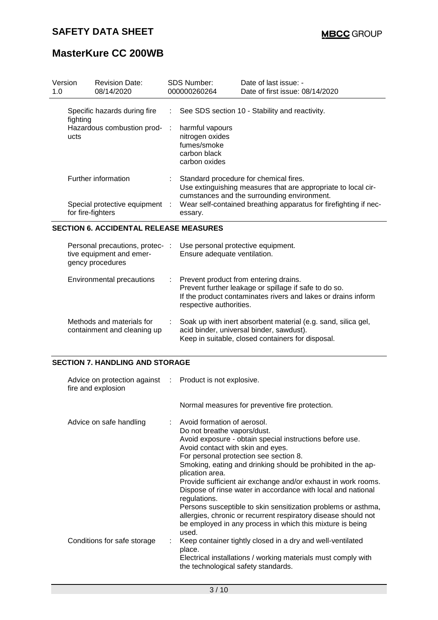| Version<br>1.0 |                     | <b>Revision Date:</b><br>08/14/2020                                            |     | <b>SDS Number:</b><br>000000260264                                                 | Date of last issue: -<br>Date of first issue: 08/14/2020                                                                                                        |
|----------------|---------------------|--------------------------------------------------------------------------------|-----|------------------------------------------------------------------------------------|-----------------------------------------------------------------------------------------------------------------------------------------------------------------|
|                | fighting            | Specific hazards during fire                                                   | ÷.  |                                                                                    | See SDS section 10 - Stability and reactivity.                                                                                                                  |
|                | ucts                | Hazardous combustion prod-                                                     | - 1 | harmful vapours<br>nitrogen oxides<br>fumes/smoke<br>carbon black<br>carbon oxides |                                                                                                                                                                 |
|                | Further information |                                                                                |     |                                                                                    | Standard procedure for chemical fires.<br>Use extinguishing measures that are appropriate to local cir-<br>cumstances and the surrounding environment.          |
|                | for fire-fighters   | Special protective equipment                                                   | ÷   | essary.                                                                            | Wear self-contained breathing apparatus for firefighting if nec-                                                                                                |
|                |                     | <b>SECTION 6. ACCIDENTAL RELEASE MEASURES</b>                                  |     |                                                                                    |                                                                                                                                                                 |
|                |                     | Personal precautions, protec-:<br>tive equipment and emer-<br>gency procedures |     | Use personal protective equipment.<br>Ensure adequate ventilation.                 |                                                                                                                                                                 |
|                |                     | Environmental precautions                                                      | ÷   | respective authorities.                                                            | Prevent product from entering drains.<br>Prevent further leakage or spillage if safe to do so.<br>If the product contaminates rivers and lakes or drains inform |

| Methods and materials for   | : Soak up with inert absorbent material (e.g. sand, silica gel, |
|-----------------------------|-----------------------------------------------------------------|
| containment and cleaning up | acid binder, universal binder, sawdust).                        |
|                             | Keep in suitable, closed containers for disposal.               |

#### **SECTION 7. HANDLING AND STORAGE**

| Advice on protection against : Product is not explosive.<br>fire and explosion |                                                                                                                                                                                                                                                                                                                                                                                                                                                                                                                                                                                                                                                      |
|--------------------------------------------------------------------------------|------------------------------------------------------------------------------------------------------------------------------------------------------------------------------------------------------------------------------------------------------------------------------------------------------------------------------------------------------------------------------------------------------------------------------------------------------------------------------------------------------------------------------------------------------------------------------------------------------------------------------------------------------|
|                                                                                | Normal measures for preventive fire protection.                                                                                                                                                                                                                                                                                                                                                                                                                                                                                                                                                                                                      |
| Advice on safe handling                                                        | : Avoid formation of aerosol.<br>Do not breathe vapors/dust.<br>Avoid exposure - obtain special instructions before use.<br>Avoid contact with skin and eyes.<br>For personal protection see section 8.<br>Smoking, eating and drinking should be prohibited in the ap-<br>plication area.<br>Provide sufficient air exchange and/or exhaust in work rooms.<br>Dispose of rinse water in accordance with local and national<br>regulations.<br>Persons susceptible to skin sensitization problems or asthma,<br>allergies, chronic or recurrent respiratory disease should not<br>be employed in any process in which this mixture is being<br>used. |
| Conditions for safe storage                                                    | Keep container tightly closed in a dry and well-ventilated<br>place.<br>Electrical installations / working materials must comply with<br>the technological safety standards.                                                                                                                                                                                                                                                                                                                                                                                                                                                                         |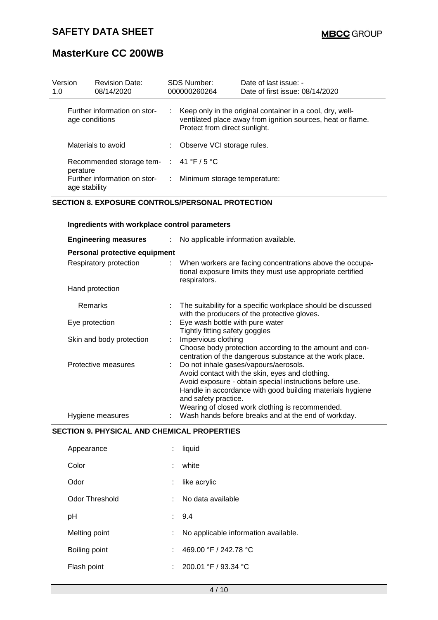| Version<br>1.0 |                | <b>Revision Date:</b><br>08/14/2020     |    | SDS Number:<br>000000260264   | Date of last issue: -<br>Date of first issue: 08/14/2020                                                                   |
|----------------|----------------|-----------------------------------------|----|-------------------------------|----------------------------------------------------------------------------------------------------------------------------|
|                | age conditions | Further information on stor-            |    | Protect from direct sunlight. | : Keep only in the original container in a cool, dry, well-<br>ventilated place away from ignition sources, heat or flame. |
|                |                | Materials to avoid                      |    | : Observe VCI storage rules.  |                                                                                                                            |
|                | perature       | Recommended storage tem- : 41 °F / 5 °C |    |                               |                                                                                                                            |
|                | age stability  | Further information on stor-            | ÷. | Minimum storage temperature:  |                                                                                                                            |

#### **SECTION 8. EXPOSURE CONTROLS/PERSONAL PROTECTION**

**Ingredients with workplace control parameters**

| <b>Engineering measures</b>   | No applicable information available.                                                                                                                                                                                                                                                         |
|-------------------------------|----------------------------------------------------------------------------------------------------------------------------------------------------------------------------------------------------------------------------------------------------------------------------------------------|
| Personal protective equipment |                                                                                                                                                                                                                                                                                              |
| Respiratory protection        | : When workers are facing concentrations above the occupa-<br>tional exposure limits they must use appropriate certified<br>respirators.                                                                                                                                                     |
| Hand protection               |                                                                                                                                                                                                                                                                                              |
| Remarks                       | The suitability for a specific workplace should be discussed<br>with the producers of the protective gloves.                                                                                                                                                                                 |
| Eye protection                | Eye wash bottle with pure water<br>Tightly fitting safety goggles                                                                                                                                                                                                                            |
| Skin and body protection      | Impervious clothing<br>Choose body protection according to the amount and con-<br>centration of the dangerous substance at the work place.                                                                                                                                                   |
| Protective measures           | Do not inhale gases/vapours/aerosols.<br>Avoid contact with the skin, eyes and clothing.<br>Avoid exposure - obtain special instructions before use.<br>Handle in accordance with good building materials hygiene<br>and safety practice.<br>Wearing of closed work clothing is recommended. |
| Hygiene measures              | Wash hands before breaks and at the end of workday.                                                                                                                                                                                                                                          |

#### **SECTION 9. PHYSICAL AND CHEMICAL PROPERTIES**

| Appearance            | t | liquid                               |
|-----------------------|---|--------------------------------------|
| Color                 |   | white                                |
| Odor                  |   | like acrylic                         |
| <b>Odor Threshold</b> | ÷ | No data available                    |
| рH                    |   | 9.4                                  |
| Melting point         |   | No applicable information available. |
| Boiling point         | t | 469.00 °F / 242.78 °C                |
| Flash point           |   | 200.01 °F / 93.34 °C                 |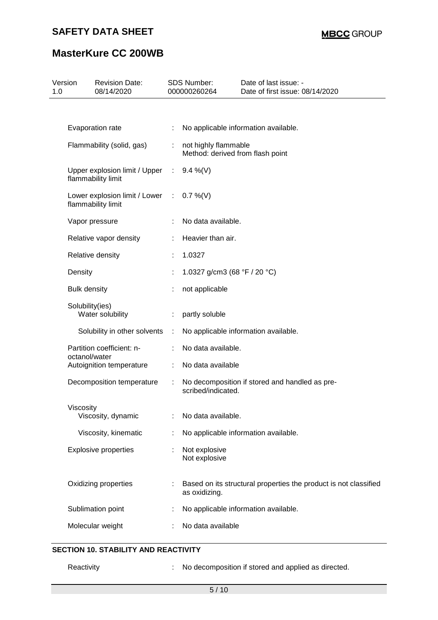### **SAFETY DATA SHEET**

# **MasterKure CC 200WB**

| Version<br>1.0 |                           | <b>Revision Date:</b><br>08/14/2020                   |            | <b>SDS Number:</b><br>000000260264                       | Date of last issue: -<br>Date of first issue: 08/14/2020         |
|----------------|---------------------------|-------------------------------------------------------|------------|----------------------------------------------------------|------------------------------------------------------------------|
|                |                           |                                                       |            |                                                          |                                                                  |
|                |                           | Evaporation rate                                      |            |                                                          | No applicable information available.                             |
|                | Flammability (solid, gas) |                                                       | ÷          | not highly flammable<br>Method: derived from flash point |                                                                  |
|                |                           | Upper explosion limit / Upper<br>flammability limit   | $\sim 100$ | $9.4\%$ (V)                                              |                                                                  |
|                |                           | Lower explosion limit / Lower :<br>flammability limit |            | $0.7\%$ (V)                                              |                                                                  |
|                |                           | Vapor pressure                                        |            | No data available.                                       |                                                                  |
|                |                           | Relative vapor density                                |            | Heavier than air.                                        |                                                                  |
|                |                           | Relative density                                      |            | 1.0327                                                   |                                                                  |
|                | Density                   |                                                       |            | 1.0327 g/cm3 (68 °F / 20 °C)                             |                                                                  |
|                | <b>Bulk density</b>       |                                                       |            | not applicable                                           |                                                                  |
|                | Solubility(ies)           | Water solubility                                      |            | partly soluble                                           |                                                                  |
|                |                           | Solubility in other solvents                          |            |                                                          | No applicable information available.                             |
|                | octanol/water             | Partition coefficient: n-                             |            | No data available.                                       |                                                                  |
|                |                           | Autoignition temperature                              | ÷          | No data available                                        |                                                                  |
|                |                           | Decomposition temperature                             |            | scribed/indicated.                                       | No decomposition if stored and handled as pre-                   |
|                | Viscosity                 |                                                       |            |                                                          |                                                                  |
|                |                           | Viscosity, dynamic                                    |            | No data available.                                       |                                                                  |
|                |                           | Viscosity, kinematic                                  |            |                                                          | No applicable information available.                             |
|                |                           | <b>Explosive properties</b>                           |            | Not explosive<br>Not explosive                           |                                                                  |
|                |                           | Oxidizing properties                                  |            | as oxidizing.                                            | Based on its structural properties the product is not classified |
|                |                           | Sublimation point                                     |            |                                                          | No applicable information available.                             |
|                |                           | Molecular weight                                      |            | No data available                                        |                                                                  |

### **SECTION 10. STABILITY AND REACTIVITY**

Reactivity : No decomposition if stored and applied as directed.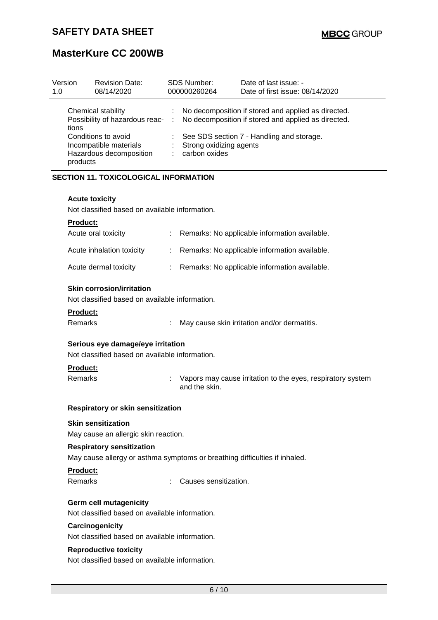| Version<br>1.0                                                                       | <b>Revision Date:</b><br>08/14/2020                  | <b>SDS Number:</b><br>000000260264             | Date of last issue: -<br>Date of first issue: 08/14/2020                                                     |
|--------------------------------------------------------------------------------------|------------------------------------------------------|------------------------------------------------|--------------------------------------------------------------------------------------------------------------|
| tions                                                                                | Chemical stability<br>Possibility of hazardous reac- | $\mathcal{L}$                                  | : No decomposition if stored and applied as directed.<br>No decomposition if stored and applied as directed. |
| Conditions to avoid<br>Incompatible materials<br>Hazardous decomposition<br>products |                                                      | Strong oxidizing agents<br>÷.<br>carbon oxides | See SDS section 7 - Handling and storage.                                                                    |
|                                                                                      |                                                      |                                                |                                                                                                              |

#### **SECTION 11. TOXICOLOGICAL INFORMATION**

#### **Acute toxicity**

Not classified based on available information.

#### **Product:**

| Acute oral toxicity       | : Remarks: No applicable information available. |
|---------------------------|-------------------------------------------------|
| Acute inhalation toxicity | : Remarks: No applicable information available. |
| Acute dermal toxicity     | : Remarks: No applicable information available. |

#### **Skin corrosion/irritation**

Not classified based on available information.

#### **Product:**

| Remarks | May cause skin irritation and/or dermatitis. |  |
|---------|----------------------------------------------|--|
|         |                                              |  |

#### **Serious eye damage/eye irritation**

Not classified based on available information.

#### **Product:**

Remarks : Vapors may cause irritation to the eyes, respiratory system and the skin.

#### **Respiratory or skin sensitization**

#### **Skin sensitization**

May cause an allergic skin reaction.

#### **Respiratory sensitization**

May cause allergy or asthma symptoms or breathing difficulties if inhaled.

#### **Product:**

Remarks : Causes sensitization.

#### **Germ cell mutagenicity**

Not classified based on available information.

#### **Carcinogenicity**

Not classified based on available information.

#### **Reproductive toxicity**

Not classified based on available information.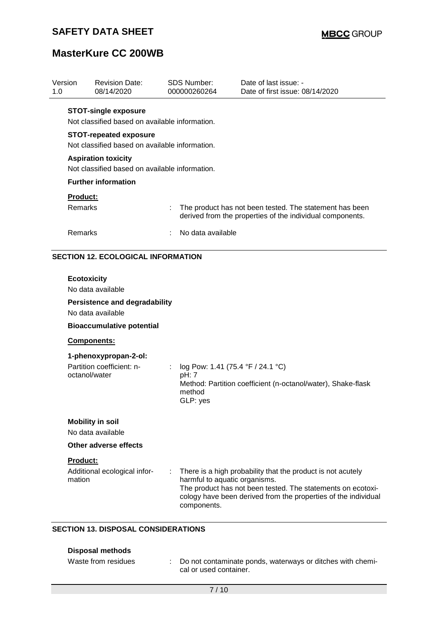| Version<br>1.0      | <b>Revision Date:</b><br>08/14/2020                                                                                               |   | <b>SDS Number:</b><br>000000260264                               | Date of last issue: -<br>Date of first issue: 08/14/2020                                                                                                                                     |
|---------------------|-----------------------------------------------------------------------------------------------------------------------------------|---|------------------------------------------------------------------|----------------------------------------------------------------------------------------------------------------------------------------------------------------------------------------------|
|                     | <b>STOT-single exposure</b><br>Not classified based on available information.<br><b>STOT-repeated exposure</b>                    |   |                                                                  |                                                                                                                                                                                              |
|                     | Not classified based on available information.                                                                                    |   |                                                                  |                                                                                                                                                                                              |
|                     | <b>Aspiration toxicity</b><br>Not classified based on available information.                                                      |   |                                                                  |                                                                                                                                                                                              |
|                     | <b>Further information</b>                                                                                                        |   |                                                                  |                                                                                                                                                                                              |
| Product:<br>Remarks |                                                                                                                                   | t |                                                                  | The product has not been tested. The statement has been<br>derived from the properties of the individual components.                                                                         |
|                     | No data available<br>Remarks                                                                                                      |   |                                                                  |                                                                                                                                                                                              |
|                     | No data available<br><b>Persistence and degradability</b><br>No data available<br><b>Bioaccumulative potential</b><br>Components: |   |                                                                  |                                                                                                                                                                                              |
|                     | 1-phenoxypropan-2-ol:<br>Partition coefficient: n-<br>octanol/water                                                               | ÷ | log Pow: 1.41 (75.4 °F / 24.1 °C)<br>pH: 7<br>method<br>GLP: yes | Method: Partition coefficient (n-octanol/water), Shake-flask                                                                                                                                 |
|                     | <b>Mobility in soil</b><br>No data available                                                                                      |   |                                                                  |                                                                                                                                                                                              |
|                     | Other adverse effects                                                                                                             |   |                                                                  |                                                                                                                                                                                              |
| Product:<br>mation  | Additional ecological infor-                                                                                                      |   | harmful to aquatic organisms.<br>components.                     | There is a high probability that the product is not acutely<br>The product has not been tested. The statements on ecotoxi-<br>cology have been derived from the properties of the individual |

### **SECTION 13. DISPOSAL CONSIDERATIONS**

| Disposal methods    |                                                                                        |
|---------------------|----------------------------------------------------------------------------------------|
| Waste from residues | : Do not contaminate ponds, waterways or ditches with chemi-<br>cal or used container. |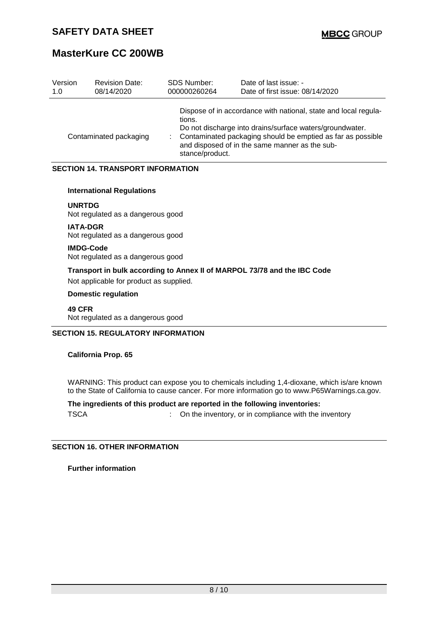| Version | <b>Revision Date:</b>  | <b>SDS Number:</b>        | Date of last issue: -                                                                                                                                                                                                                        |
|---------|------------------------|---------------------------|----------------------------------------------------------------------------------------------------------------------------------------------------------------------------------------------------------------------------------------------|
| 1.0     | 08/14/2020             | 000000260264              | Date of first issue: 08/14/2020                                                                                                                                                                                                              |
|         | Contaminated packaging | tions.<br>stance/product. | Dispose of in accordance with national, state and local regula-<br>Do not discharge into drains/surface waters/groundwater.<br>Contaminated packaging should be emptied as far as possible<br>and disposed of in the same manner as the sub- |

#### **SECTION 14. TRANSPORT INFORMATION**

#### **International Regulations**

**UNRTDG** Not regulated as a dangerous good

**IATA-DGR** Not regulated as a dangerous good

**IMDG-Code** Not regulated as a dangerous good

**Transport in bulk according to Annex II of MARPOL 73/78 and the IBC Code**

Not applicable for product as supplied.

#### **Domestic regulation**

**49 CFR** Not regulated as a dangerous good

#### **SECTION 15. REGULATORY INFORMATION**

**California Prop. 65**

WARNING: This product can expose you to chemicals including 1,4-dioxane, which is/are known to the State of California to cause cancer. For more information go to www.P65Warnings.ca.gov.

**The ingredients of this product are reported in the following inventories:** TSCA : On the inventory, or in compliance with the inventory

**SECTION 16. OTHER INFORMATION**

**Further information**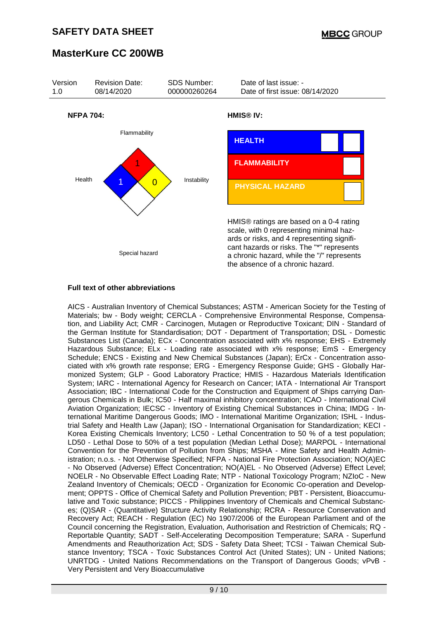

#### **Full text of other abbreviations**

AICS - Australian Inventory of Chemical Substances; ASTM - American Society for the Testing of Materials; bw - Body weight; CERCLA - Comprehensive Environmental Response, Compensation, and Liability Act; CMR - Carcinogen, Mutagen or Reproductive Toxicant; DIN - Standard of the German Institute for Standardisation; DOT - Department of Transportation; DSL - Domestic Substances List (Canada); ECx - Concentration associated with x% response; EHS - Extremely Hazardous Substance; ELx - Loading rate associated with x% response; EmS - Emergency Schedule; ENCS - Existing and New Chemical Substances (Japan); ErCx - Concentration associated with x% growth rate response; ERG - Emergency Response Guide; GHS - Globally Harmonized System; GLP - Good Laboratory Practice; HMIS - Hazardous Materials Identification System; IARC - International Agency for Research on Cancer; IATA - International Air Transport Association; IBC - International Code for the Construction and Equipment of Ships carrying Dangerous Chemicals in Bulk; IC50 - Half maximal inhibitory concentration; ICAO - International Civil Aviation Organization; IECSC - Inventory of Existing Chemical Substances in China; IMDG - International Maritime Dangerous Goods; IMO - International Maritime Organization; ISHL - Industrial Safety and Health Law (Japan); ISO - International Organisation for Standardization; KECI - Korea Existing Chemicals Inventory; LC50 - Lethal Concentration to 50 % of a test population; LD50 - Lethal Dose to 50% of a test population (Median Lethal Dose); MARPOL - International Convention for the Prevention of Pollution from Ships; MSHA - Mine Safety and Health Administration; n.o.s. - Not Otherwise Specified; NFPA - National Fire Protection Association; NO(A)EC - No Observed (Adverse) Effect Concentration; NO(A)EL - No Observed (Adverse) Effect Level; NOELR - No Observable Effect Loading Rate; NTP - National Toxicology Program; NZIoC - New Zealand Inventory of Chemicals; OECD - Organization for Economic Co-operation and Development; OPPTS - Office of Chemical Safety and Pollution Prevention; PBT - Persistent, Bioaccumulative and Toxic substance; PICCS - Philippines Inventory of Chemicals and Chemical Substances; (Q)SAR - (Quantitative) Structure Activity Relationship; RCRA - Resource Conservation and Recovery Act; REACH - Regulation (EC) No 1907/2006 of the European Parliament and of the Council concerning the Registration, Evaluation, Authorisation and Restriction of Chemicals; RQ - Reportable Quantity; SADT - Self-Accelerating Decomposition Temperature; SARA - Superfund Amendments and Reauthorization Act; SDS - Safety Data Sheet; TCSI - Taiwan Chemical Substance Inventory; TSCA - Toxic Substances Control Act (United States); UN - United Nations; UNRTDG - United Nations Recommendations on the Transport of Dangerous Goods; vPvB - Very Persistent and Very Bioaccumulative